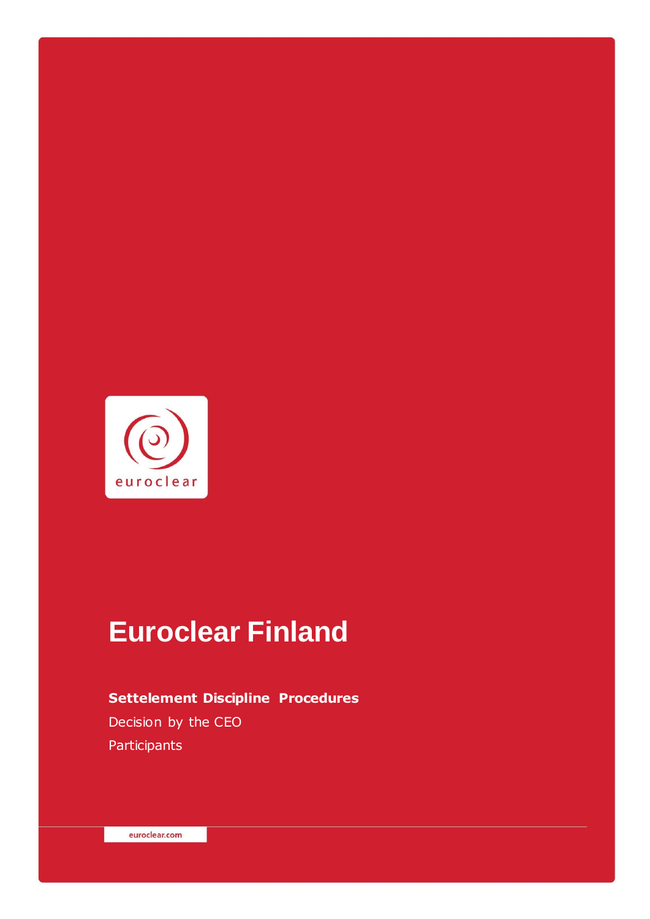

# **Euroclear Finland**

## **Settelement Discipline Procedures** Decision by the CEO **Participants**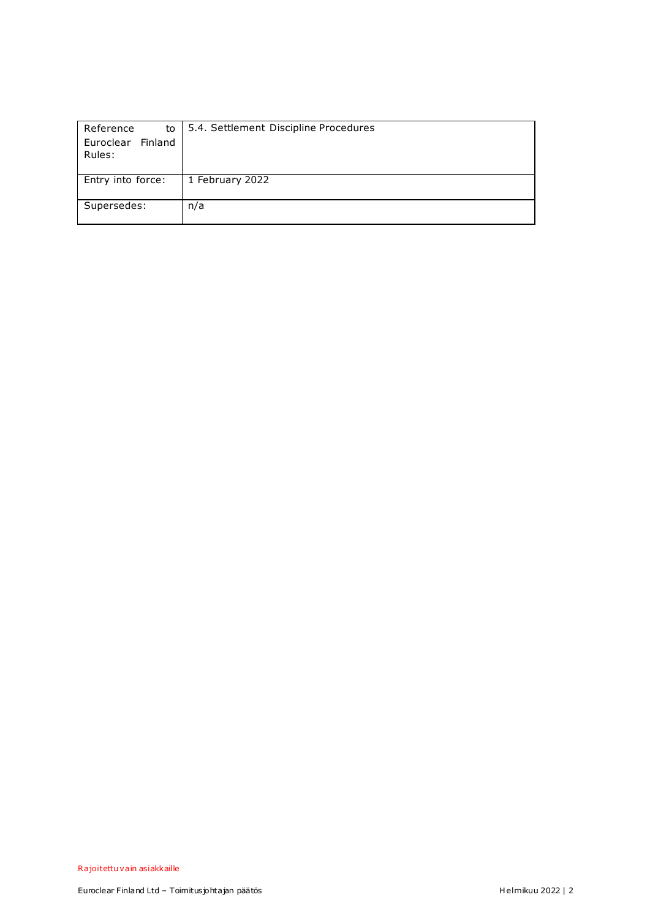| Reference<br>to      | 5.4. Settlement Discipline Procedures |
|----------------------|---------------------------------------|
| Finland<br>Euroclear |                                       |
| Rules:               |                                       |
|                      |                                       |
| Entry into force:    | 1 February 2022                       |
| Supersedes:          | n/a                                   |
|                      |                                       |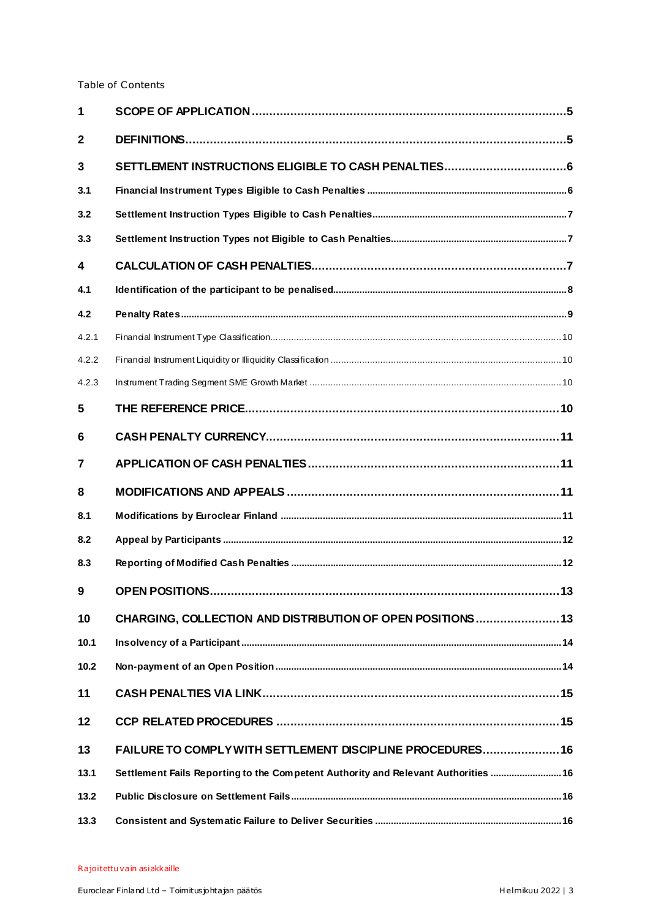#### Table of Contents

| 1              |                                                                                    |     |
|----------------|------------------------------------------------------------------------------------|-----|
| $\mathbf{2}$   |                                                                                    |     |
| 3              | SETTLEMENT INSTRUCTIONS ELIGIBLE TO CASH PENALTIES6                                |     |
| 3.1            |                                                                                    |     |
| 3.2            |                                                                                    |     |
| 3.3            |                                                                                    |     |
| 4              |                                                                                    |     |
| 4.1            |                                                                                    |     |
| 4.2            |                                                                                    |     |
| 4.2.1          |                                                                                    |     |
| 4.2.2          |                                                                                    |     |
| 4.2.3          |                                                                                    |     |
| 5              |                                                                                    |     |
| 6              |                                                                                    |     |
| $\overline{7}$ |                                                                                    |     |
| 8              |                                                                                    |     |
| 8.1            |                                                                                    |     |
| 8.2            |                                                                                    |     |
| 8.3            |                                                                                    |     |
| 9              | <b>OPEN POSITIONS</b>                                                              | .13 |
| 10             | CHARGING, COLLECTION AND DISTRIBUTION OF OPEN POSITIONS13                          |     |
| 10.1           |                                                                                    |     |
| 10.2           |                                                                                    |     |
| 11             |                                                                                    |     |
| 12             |                                                                                    |     |
| 13             | FAILURE TO COMPLY WITH SETTLEMENT DISCIPLINE PROCEDURES 16                         |     |
| 13.1           | Settlement Fails Reporting to the Competent Authority and Relevant Authorities  16 |     |
| 13.2           |                                                                                    |     |
| 13.3           |                                                                                    |     |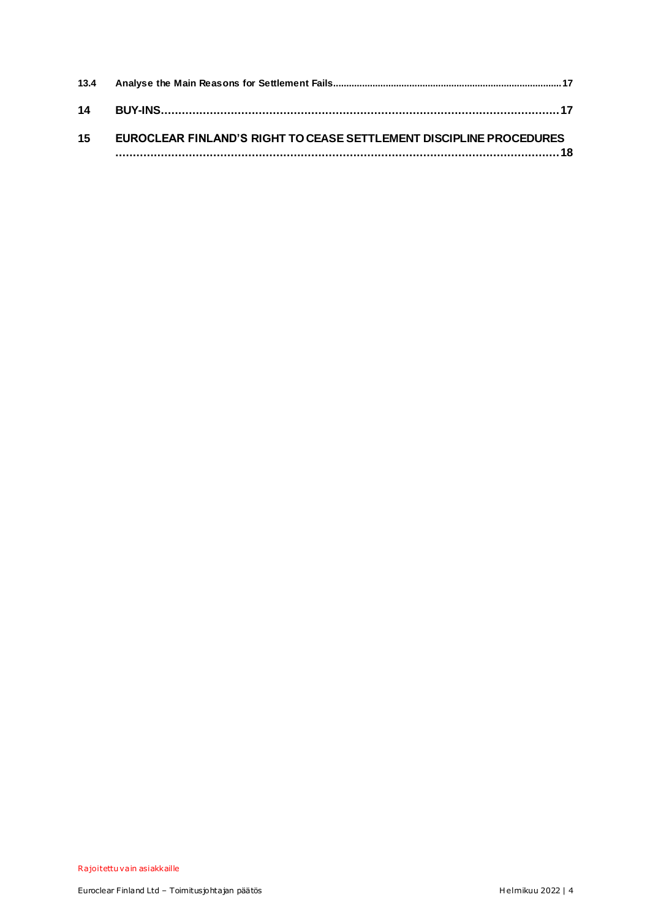| 15 | EUROCLEAR FINLAND'S RIGHT TO CEASE SETTLEMENT DISCIPLINE PROCEDURES |  |
|----|---------------------------------------------------------------------|--|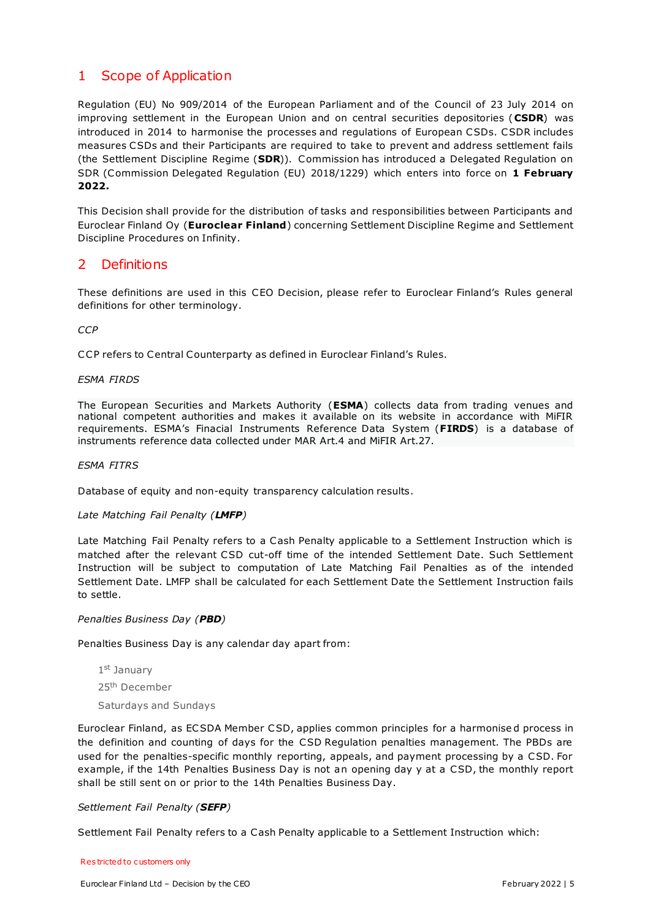## <span id="page-4-0"></span>1 Scope of Application

Regulation (EU) No 909/2014 of the European Parliament and of the Council of 23 July 2014 on improving settlement in the European Union and on central securities depositories (**CSDR**) was introduced in 2014 to harmonise the processes and regulations of European CSDs. CSDR includes measures CSDs and their Participants are required to take to prevent and address settlement fails (the Settlement Discipline Regime (**SDR**)). Commission has introduced a Delegated Regulation on SDR (Commission Delegated Regulation (EU) 2018/1229) which enters into force on **1 February 2022.**

This Decision shall provide for the distribution of tasks and responsibilities between Participants and Euroclear Finland Oy (**Euroclear Finland**) concerning Settlement Discipline Regime and Settlement Discipline Procedures on Infinity.

#### <span id="page-4-1"></span>2 Definitions

These definitions are used in this CEO Decision, please refer to Euroclear Finland's Rules general definitions for other terminology.

*CCP*

CCP refers to Central Counterparty as defined in Euroclear Finland's Rules.

#### *ESMA FIRDS*

The European Securities and Markets Authority (**ESMA**) collects data from trading venues and national competent authorities and makes it available on its website in accordance with MiFIR requirements. ESMA's Finacial Instruments Reference Data System (**FIRDS**) is a database of instruments reference data collected under MAR Art.4 and MiFIR Art.27.

#### *ESMA FITRS*

Database of equity and non-equity transparency calculation results.

#### *Late Matching Fail Penalty (LMFP)*

Late Matching Fail Penalty refers to a Cash Penalty applicable to a Settlement Instruction which is matched after the relevant CSD cut-off time of the intended Settlement Date. Such Settlement Instruction will be subject to computation of Late Matching Fail Penalties as of the intended Settlement Date. LMFP shall be calculated for each Settlement Date the Settlement Instruction fails to settle.

#### *Penalties Business Day (PBD)*

Penalties Business Day is any calendar day apart from:

1st January 25th December

Saturdays and Sundays

Euroclear Finland, as ECSDA Member CSD, applies common principles for a harmonise d process in the definition and counting of days for the CSD Regulation penalties management. The PBDs are used for the penalties-specific monthly reporting, appeals, and payment processing by a CSD. For example, if the 14th Penalties Business Day is not an opening day y at a CSD, the monthly report shall be still sent on or prior to the 14th Penalties Business Day.

#### *Settlement Fail Penalty (SEFP)*

Settlement Fail Penalty refers to a Cash Penalty applicable to a Settlement Instruction which:

#### Res tricted to c ustomers only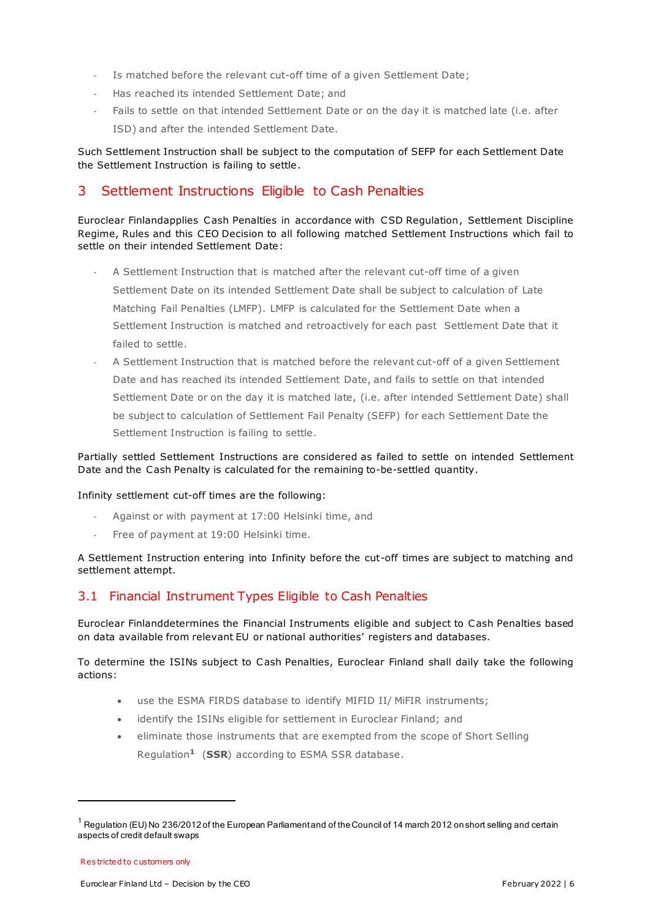- Is matched before the relevant cut-off time of a given Settlement Date;
- Has reached its intended Settlement Date; and
- Fails to settle on that intended Settlement Date or on the day it is matched late (i.e. after ISD) and after the intended Settlement Date.

Such Settlement Instruction shall be subject to the computation of SEFP for each Settlement Date the Settlement Instruction is failing to settle.

## <span id="page-5-0"></span>3 Settlement Instructions Eligible to Cash Penalties

Euroclear Finlandapplies Cash Penalties in accordance with CSD Regulation, Settlement Discipline Regime, Rules and this CEO Decision to all following matched Settlement Instructions which fail to settle on their intended Settlement Date:

- A Settlement Instruction that is matched after the relevant cut-off time of a given Settlement Date on its intended Settlement Date shall be subject to calculation of Late Matching Fail Penalties (LMFP). LMFP is calculated for the Settlement Date when a Settlement Instruction is matched and retroactively for each past Settlement Date that it failed to settle.
- A Settlement Instruction that is matched before the relevant cut-off of a given Settlement Date and has reached its intended Settlement Date, and fails to settle on that intended Settlement Date or on the day it is matched late, (i.e. after intended Settlement Date) shall be subject to calculation of Settlement Fail Penalty (SEFP) for each Settlement Date the Settlement Instruction is failing to settle.

Partially settled Settlement Instructions are considered as failed to settle on intended Settlement Date and the Cash Penalty is calculated for the remaining to-be-settled quantity.

Infinity settlement cut-off times are the following:

- Against or with payment at 17:00 Helsinki time, and
- Free of payment at 19:00 Helsinki time.

A Settlement Instruction entering into Infinity before the cut-off times are subject to matching and settlement attempt.

## <span id="page-5-1"></span>3.1 Financial Instrument Types Eligible to Cash Penalties

Euroclear Finlanddetermines the Financial Instruments eligible and subject to Cash Penalties based on data available from relevant EU or national authorities' registers and databases.

To determine the ISINs subject to Cash Penalties, Euroclear Finland shall daily take the following actions:

- use the ESMA FIRDS database to identify MIFID II/ MiFIR instruments;
- identify the ISINs eligible for settlement in Euroclear Finland; and
- eliminate those instruments that are exempted from the scope of Short Selling Regulation**1** (**SSR**) according to ESMA SSR database.

-

<sup>&</sup>lt;sup>1</sup> Regulation (EU) No 236/2012 of the European Parliament and of the Council of 14 march 2012 on short selling and certain aspects of credit default swaps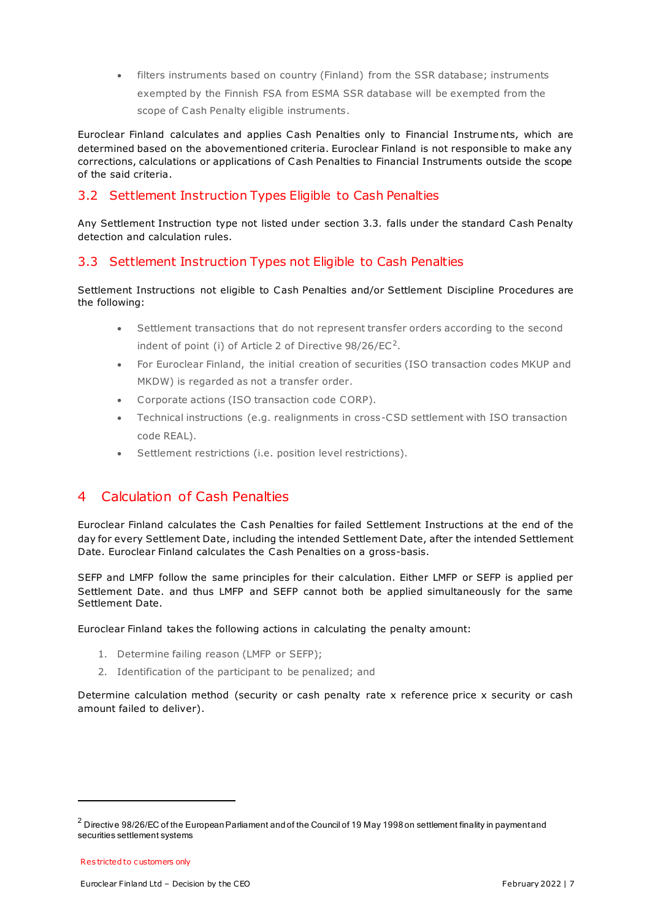filters instruments based on country (Finland) from the SSR database; instruments exempted by the Finnish FSA from ESMA SSR database will be exempted from the scope of Cash Penalty eligible instruments.

Euroclear Finland calculates and applies Cash Penalties only to Financial Instrume nts, which are determined based on the abovementioned criteria. Euroclear Finland is not responsible to make any corrections, calculations or applications of Cash Penalties to Financial Instruments outside the scope of the said criteria.

## <span id="page-6-0"></span>3.2 Settlement Instruction Types Eligible to Cash Penalties

Any Settlement Instruction type not listed under section 3.3. falls under the standard Cash Penalty detection and calculation rules.

## <span id="page-6-1"></span>3.3 Settlement Instruction Types not Eligible to Cash Penalties

Settlement Instructions not eligible to Cash Penalties and/or Settlement Discipline Procedures are the following:

- Settlement transactions that do not represent transfer orders according to the second indent of point (i) of Article 2 of Directive  $98/26/EC^2$ .
- For Euroclear Finland, the initial creation of securities (ISO transaction codes MKUP and MKDW) is regarded as not a transfer order.
- Corporate actions (ISO transaction code CORP).
- Technical instructions (e.g. realignments in cross-CSD settlement with ISO transaction code REAL).
- Settlement restrictions (i.e. position level restrictions).

## <span id="page-6-2"></span>4 Calculation of Cash Penalties

Euroclear Finland calculates the Cash Penalties for failed Settlement Instructions at the end of the day for every Settlement Date, including the intended Settlement Date, after the intended Settlement Date. Euroclear Finland calculates the Cash Penalties on a gross-basis.

SEFP and LMFP follow the same principles for their calculation. Either LMFP or SEFP is applied per Settlement Date. and thus LMFP and SEFP cannot both be applied simultaneously for the same Settlement Date.

Euroclear Finland takes the following actions in calculating the penalty amount:

- 1. Determine failing reason (LMFP or SEFP);
- 2. Identification of the participant to be penalized; and

Determine calculation method (security or cash penalty rate x reference price x security or cash amount failed to deliver).

-

 $^2$  Directive 98/26/EC of the European Parliament and of the Council of 19 May 1998 on settlement finality in paymentand securities settlement systems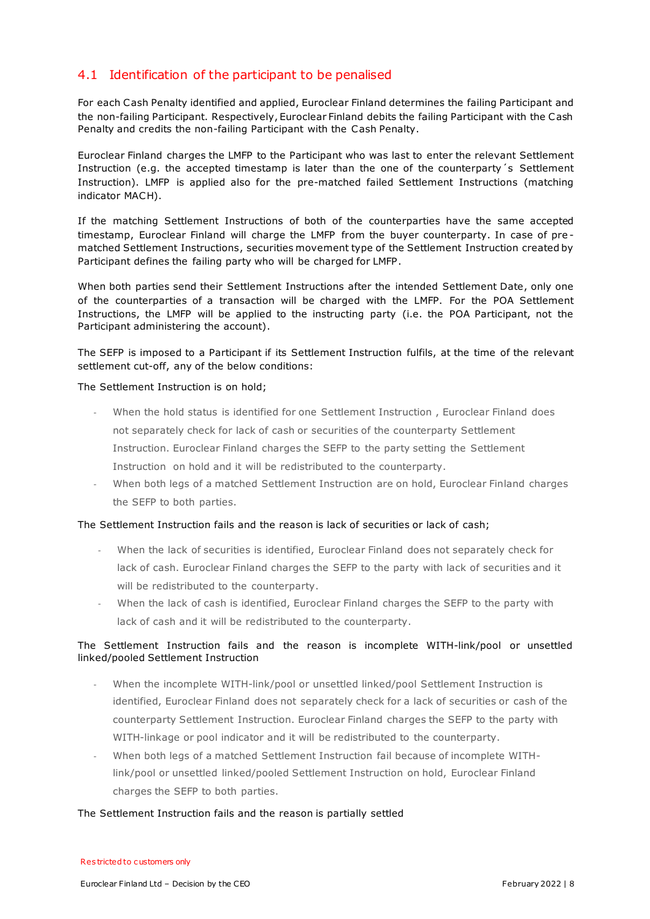#### <span id="page-7-0"></span>4.1 Identification of the participant to be penalised

For each Cash Penalty identified and applied, Euroclear Finland determines the failing Participant and the non-failing Participant. Respectively, Euroclear Finland debits the failing Participant with the Cash Penalty and credits the non-failing Participant with the Cash Penalty.

Euroclear Finland charges the LMFP to the Participant who was last to enter the relevant Settlement Instruction (e.g. the accepted timestamp is later than the one of the counterparty´s Settlement Instruction). LMFP is applied also for the pre-matched failed Settlement Instructions (matching indicator MACH).

If the matching Settlement Instructions of both of the counterparties have the same accepted timestamp, Euroclear Finland will charge the LMFP from the buyer counterparty. In case of pre matched Settlement Instructions, securities movement type of the Settlement Instruction created by Participant defines the failing party who will be charged for LMFP.

When both parties send their Settlement Instructions after the intended Settlement Date, only one of the counterparties of a transaction will be charged with the LMFP. For the POA Settlement Instructions, the LMFP will be applied to the instructing party (i.e. the POA Participant, not the Participant administering the account).

The SEFP is imposed to a Participant if its Settlement Instruction fulfils, at the time of the relevant settlement cut-off, any of the below conditions:

#### The Settlement Instruction is on hold;

- When the hold status is identified for one Settlement Instruction, Euroclear Finland does not separately check for lack of cash or securities of the counterparty Settlement Instruction. Euroclear Finland charges the SEFP to the party setting the Settlement Instruction on hold and it will be redistributed to the counterparty.
- When both legs of a matched Settlement Instruction are on hold, Euroclear Finland charges the SEFP to both parties.

#### The Settlement Instruction fails and the reason is lack of securities or lack of cash;

- When the lack of securities is identified, Euroclear Finland does not separately check for lack of cash. Euroclear Finland charges the SEFP to the party with lack of securities and it will be redistributed to the counterparty.
- When the lack of cash is identified, Euroclear Finland charges the SEFP to the party with lack of cash and it will be redistributed to the counterparty.

#### The Settlement Instruction fails and the reason is incomplete WITH-link/pool or unsettled linked/pooled Settlement Instruction

- When the incomplete WITH-link/pool or unsettled linked/pool Settlement Instruction is identified, Euroclear Finland does not separately check for a lack of securities or cash of the counterparty Settlement Instruction. Euroclear Finland charges the SEFP to the party with WITH-linkage or pool indicator and it will be redistributed to the counterparty.
- When both legs of a matched Settlement Instruction fail because of incomplete WITHlink/pool or unsettled linked/pooled Settlement Instruction on hold, Euroclear Finland charges the SEFP to both parties.

#### The Settlement Instruction fails and the reason is partially settled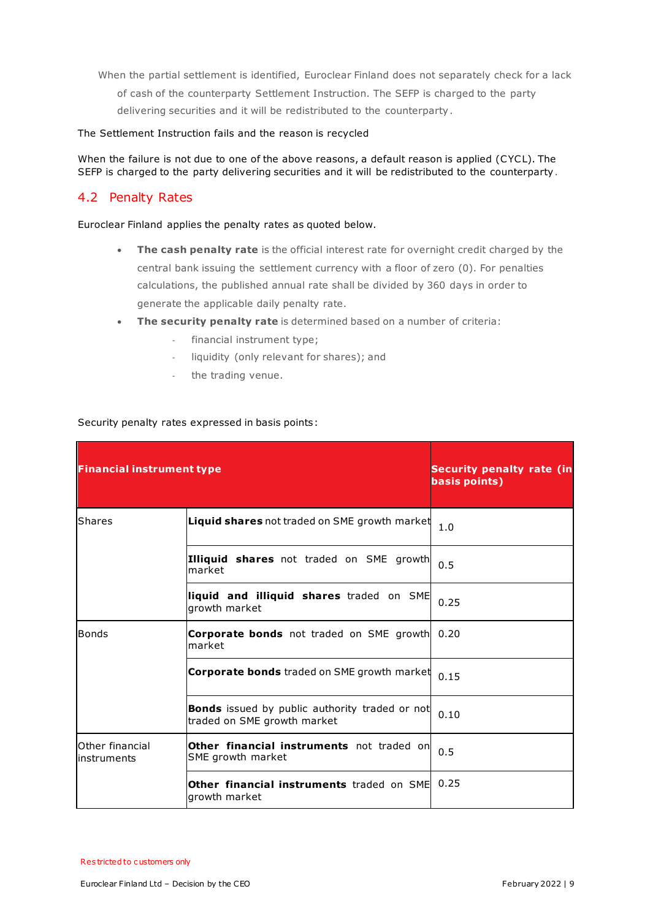When the partial settlement is identified, Euroclear Finland does not separately check for a lack of cash of the counterparty Settlement Instruction. The SEFP is charged to the party delivering securities and it will be redistributed to the counterparty.

#### The Settlement Instruction fails and the reason is recycled

When the failure is not due to one of the above reasons, a default reason is applied (CYCL). The SEFP is charged to the party delivering securities and it will be redistributed to the counterparty.

#### <span id="page-8-0"></span>4.2 Penalty Rates

Euroclear Finland applies the penalty rates as quoted below.

- **The cash penalty rate** is the official interest rate for overnight credit charged by the central bank issuing the settlement currency with a floor of zero (0). For penalties calculations, the published annual rate shall be divided by 360 days in order to generate the applicable daily penalty rate.
- **The security penalty rate** is determined based on a number of criteria:
	- financial instrument type;
	- liquidity (only relevant for shares); and
	- the trading venue.

#### Security penalty rates expressed in basis points:

| <b>Financial instrument type</b> | <b>Security penalty rate (in</b><br>basis points)                                    |      |
|----------------------------------|--------------------------------------------------------------------------------------|------|
| Shares                           | <b>Liquid shares</b> not traded on SME growth market                                 | 1.0  |
|                                  | <b>Illiquid shares</b> not traded on SME growth<br>market                            | 0.5  |
|                                  | liquid and illiquid shares traded on SME<br>growth market                            | 0.25 |
| Bonds                            | <b>Corporate bonds</b> not traded on SME growth<br>market                            | 0.20 |
|                                  | <b>Corporate bonds</b> traded on SME growth market                                   | 0.15 |
|                                  | <b>Bonds</b> issued by public authority traded or not<br>traded on SME growth market | 0.10 |
| Other financial<br>instruments   | Other financial instruments not traded on<br>SME growth market                       | 0.5  |
|                                  | Other financial instruments traded on SME<br>growth market                           | 0.25 |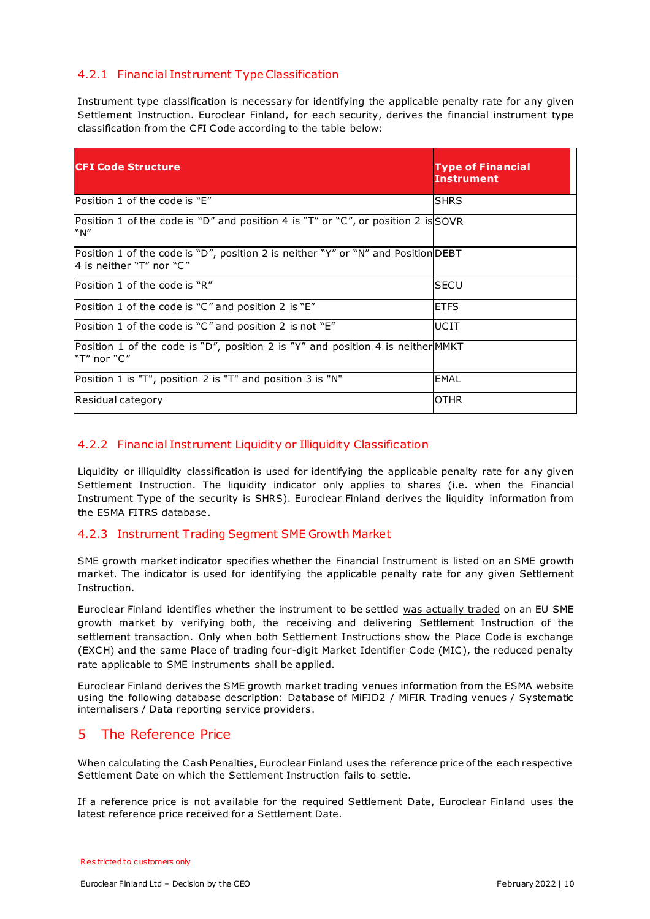#### <span id="page-9-0"></span>4.2.1 Financial Instrument Type Classification

Instrument type classification is necessary for identifying the applicable penalty rate for any given Settlement Instruction. Euroclear Finland, for each security, derives the financial instrument type classification from the CFI Code according to the table below:

| <b>ICFI Code Structure</b>                                                                                     | <b>Type of Financial</b><br><b>Instrument</b> |
|----------------------------------------------------------------------------------------------------------------|-----------------------------------------------|
| Position 1 of the code is "E"                                                                                  | ISHRS                                         |
| Position 1 of the code is "D" and position 4 is "T" or "C", or position 2 is SOVR<br>"N"                       |                                               |
| Position 1 of the code is "D", position 2 is neither "Y" or "N" and Position DEBT<br>l4 is neither "T" nor "C" |                                               |
| Position 1 of the code is "R"                                                                                  | <b>SECU</b>                                   |
| Position 1 of the code is "C" and position 2 is "E"                                                            | <b>ETFS</b>                                   |
| Position 1 of the code is " $C''$ and position 2 is not " $E''$                                                | UCIT                                          |
| Position 1 of the code is "D", position 2 is "Y" and position 4 is neither MMKT<br>"T" nor "C"                 |                                               |
| Position 1 is "T", position 2 is "T" and position 3 is "N"                                                     | EMAL                                          |
| Residual category                                                                                              | <b>OTHR</b>                                   |

#### <span id="page-9-1"></span>4.2.2 Financial Instrument Liquidity or Illiquidity Classification

Liquidity or illiquidity classification is used for identifying the applicable penalty rate for any given Settlement Instruction. The liquidity indicator only applies to shares (i.e. when the Financial Instrument Type of the security is SHRS). Euroclear Finland derives the liquidity information from the ESMA FITRS database.

#### <span id="page-9-2"></span>4.2.3 Instrument Trading Segment SME Growth Market

SME growth market indicator specifies whether the Financial Instrument is listed on an SME growth market. The indicator is used for identifying the applicable penalty rate for any given Settlement Instruction.

Euroclear Finland identifies whether the instrument to be settled was actually traded on an EU SME growth market by verifying both, the receiving and delivering Settlement Instruction of the settlement transaction. Only when both Settlement Instructions show the Place Code is exchange (EXCH) and the same Place of trading four-digit Market Identifier Code (MIC ), the reduced penalty rate applicable to SME instruments shall be applied.

Euroclear Finland derives the SME growth market trading venues information from the ESMA website using the following database description: Database of MiFID2 / MiFIR Trading venues / Systematic internalisers / Data reporting service providers.

#### <span id="page-9-3"></span>5 The Reference Price

When calculating the Cash Penalties, Euroclear Finland uses the reference price of the each respective Settlement Date on which the Settlement Instruction fails to settle.

If a reference price is not available for the required Settlement Date, Euroclear Finland uses the latest reference price received for a Settlement Date.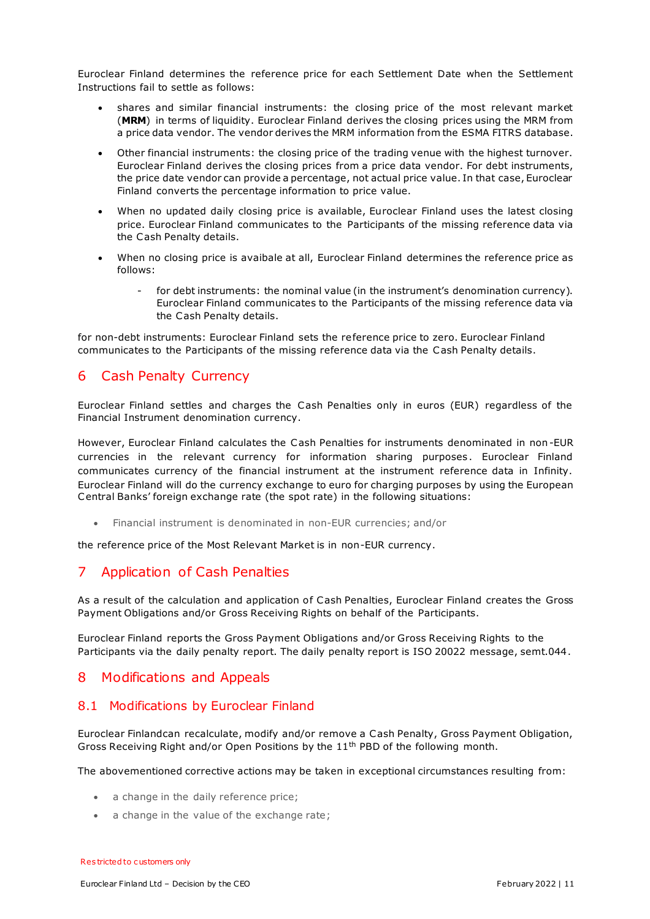Euroclear Finland determines the reference price for each Settlement Date when the Settlement Instructions fail to settle as follows:

- shares and similar financial instruments: the closing price of the most relevant market (**MRM**) in terms of liquidity. Euroclear Finland derives the closing prices using the MRM from a price data vendor. The vendor derives the MRM information from the ESMA FITRS database.
- Other financial instruments: the closing price of the trading venue with the highest turnover. Euroclear Finland derives the closing prices from a price data vendor. For debt instruments, the price date vendor can provide a percentage, not actual price value. In that case, Euroclear Finland converts the percentage information to price value.
- When no updated daily closing price is available, Euroclear Finland uses the latest closing price. Euroclear Finland communicates to the Participants of the missing reference data via the Cash Penalty details.
- When no closing price is avaibale at all, Euroclear Finland determines the reference price as follows:
	- for debt instruments: the nominal value (in the instrument's denomination currency). Euroclear Finland communicates to the Participants of the missing reference data via the Cash Penalty details.

for non-debt instruments: Euroclear Finland sets the reference price to zero. Euroclear Finland communicates to the Participants of the missing reference data via the Cash Penalty details.

## <span id="page-10-0"></span>6 Cash Penalty Currency

Euroclear Finland settles and charges the Cash Penalties only in euros (EUR) regardless of the Financial Instrument denomination currency.

However, Euroclear Finland calculates the Cash Penalties for instruments denominated in non-EUR currencies in the relevant currency for information sharing purposes. Euroclear Finland communicates currency of the financial instrument at the instrument reference data in Infinity. Euroclear Finland will do the currency exchange to euro for charging purposes by using the European Central Banks' foreign exchange rate (the spot rate) in the following situations:

Financial instrument is denominated in non-EUR currencies; and/or

the reference price of the Most Relevant Market is in non-EUR currency.

## <span id="page-10-1"></span>7 Application of Cash Penalties

As a result of the calculation and application of Cash Penalties, Euroclear Finland creates the Gross Payment Obligations and/or Gross Receiving Rights on behalf of the Participants.

Euroclear Finland reports the Gross Payment Obligations and/or Gross Receiving Rights to the Participants via the daily penalty report. The daily penalty report is ISO 20022 message, semt.044.

## <span id="page-10-2"></span>8 Modifications and Appeals

#### <span id="page-10-3"></span>8.1 Modifications by Euroclear Finland

Euroclear Finlandcan recalculate, modify and/or remove a Cash Penalty, Gross Payment Obligation, Gross Receiving Right and/or Open Positions by the  $11<sup>th</sup>$  PBD of the following month.

The abovementioned corrective actions may be taken in exceptional circumstances resulting from:

- a change in the daily reference price;
- a change in the value of the exchange rate;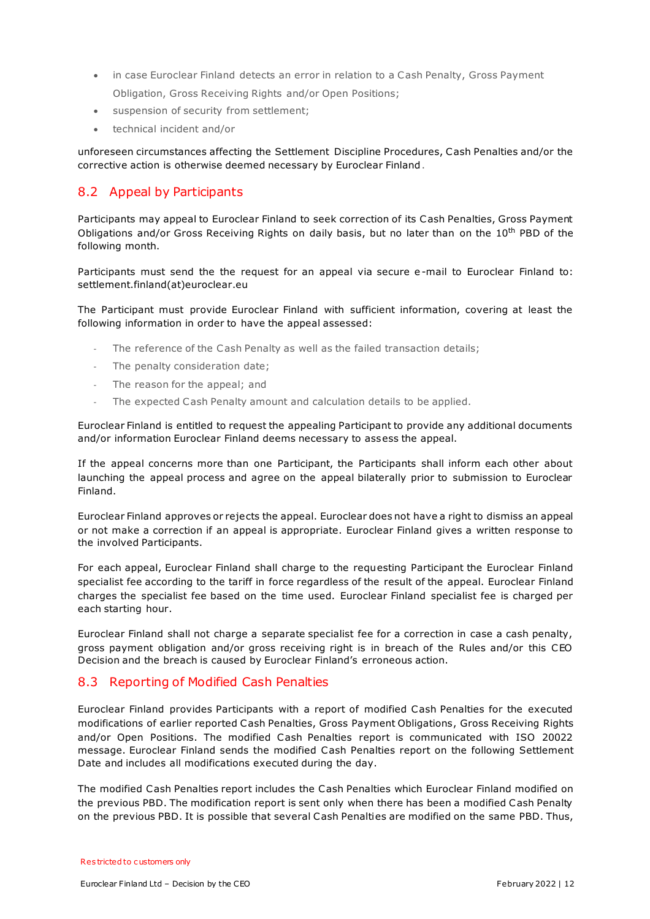- in case Euroclear Finland detects an error in relation to a Cash Penalty, Gross Payment Obligation, Gross Receiving Rights and/or Open Positions;
- suspension of security from settlement;
- technical incident and/or

unforeseen circumstances affecting the Settlement Discipline Procedures, Cash Penalties and/or the corrective action is otherwise deemed necessary by Euroclear Finland.

#### <span id="page-11-0"></span>8.2 Appeal by Participants

Participants may appeal to Euroclear Finland to seek correction of its Cash Penalties, Gross Payment Obligations and/or Gross Receiving Rights on daily basis, but no later than on the 10<sup>th</sup> PBD of the following month.

Participants must send the the request for an appeal via secure e -mail to Euroclear Finland to: settlement.finland(at)euroclear.eu

The Participant must provide Euroclear Finland with sufficient information, covering at least the following information in order to have the appeal assessed:

- The reference of the Cash Penalty as well as the failed transaction details;
- The penalty consideration date;
- The reason for the appeal; and
- The expected Cash Penalty amount and calculation details to be applied.

Euroclear Finland is entitled to request the appealing Participant to provide any additional documents and/or information Euroclear Finland deems necessary to assess the appeal.

If the appeal concerns more than one Participant, the Participants shall inform each other about launching the appeal process and agree on the appeal bilaterally prior to submission to Euroclear Finland.

Euroclear Finland approves or rejects the appeal. Euroclear does not have a right to dismiss an appeal or not make a correction if an appeal is appropriate. Euroclear Finland gives a written response to the involved Participants.

For each appeal, Euroclear Finland shall charge to the requesting Participant the Euroclear Finland specialist fee according to the tariff in force regardless of the result of the appeal. Euroclear Finland charges the specialist fee based on the time used. Euroclear Finland specialist fee is charged per each starting hour.

Euroclear Finland shall not charge a separate specialist fee for a correction in case a cash penalty, gross payment obligation and/or gross receiving right is in breach of the Rules and/or this CEO Decision and the breach is caused by Euroclear Finland's erroneous action.

#### <span id="page-11-1"></span>8.3 Reporting of Modified Cash Penalties

Euroclear Finland provides Participants with a report of modified Cash Penalties for the executed modifications of earlier reported Cash Penalties, Gross Payment Obligations, Gross Receiving Rights and/or Open Positions. The modified Cash Penalties report is communicated with ISO 20022 message. Euroclear Finland sends the modified Cash Penalties report on the following Settlement Date and includes all modifications executed during the day.

The modified Cash Penalties report includes the Cash Penalties which Euroclear Finland modified on the previous PBD. The modification report is sent only when there has been a modified Cash Penalty on the previous PBD. It is possible that several Cash Penalties are modified on the same PBD. Thus,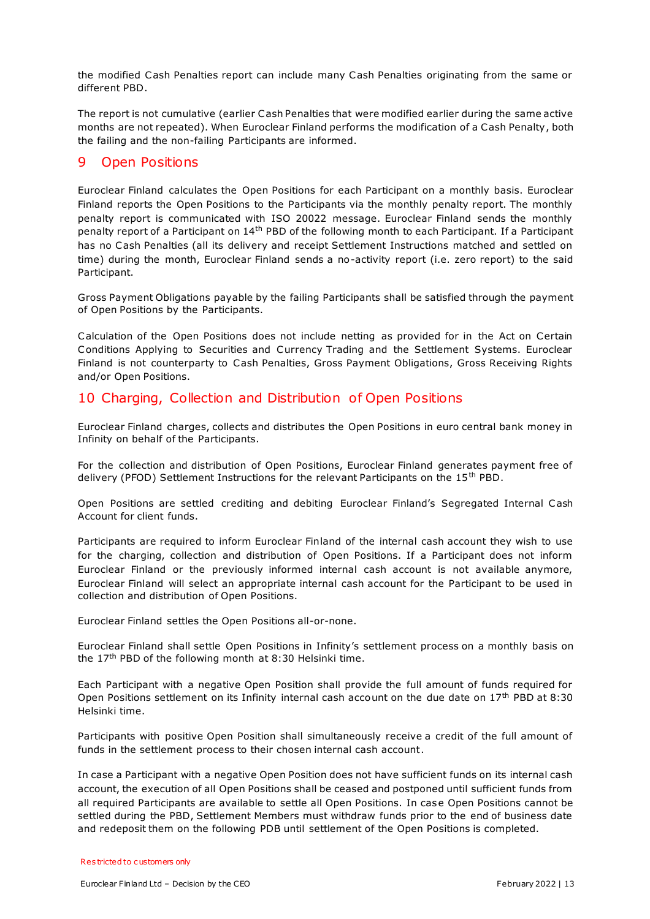the modified Cash Penalties report can include many Cash Penalties originating from the same or different PBD.

The report is not cumulative (earlier Cash Penalties that were modified earlier during the same active months are not repeated). When Euroclear Finland performs the modification of a Cash Penalty, both the failing and the non-failing Participants are informed.

## <span id="page-12-0"></span>9 Open Positions

Euroclear Finland calculates the Open Positions for each Participant on a monthly basis. Euroclear Finland reports the Open Positions to the Participants via the monthly penalty report. The monthly penalty report is communicated with ISO 20022 message. Euroclear Finland sends the monthly penalty report of a Participant on 14<sup>th</sup> PBD of the following month to each Participant. If a Participant has no Cash Penalties (all its delivery and receipt Settlement Instructions matched and settled on time) during the month, Euroclear Finland sends a no-activity report (i.e. zero report) to the said Participant.

Gross Payment Obligations payable by the failing Participants shall be satisfied through the payment of Open Positions by the Participants.

Calculation of the Open Positions does not include netting as provided for in the Act on Certain Conditions Applying to Securities and Currency Trading and the Settlement Systems. Euroclear Finland is not counterparty to Cash Penalties, Gross Payment Obligations, Gross Receiving Rights and/or Open Positions.

## <span id="page-12-1"></span>10 Charging, Collection and Distribution of Open Positions

Euroclear Finland charges, collects and distributes the Open Positions in euro central bank money in Infinity on behalf of the Participants.

For the collection and distribution of Open Positions, Euroclear Finland generates payment free of delivery (PFOD) Settlement Instructions for the relevant Participants on the 15<sup>th</sup> PBD.

Open Positions are settled crediting and debiting Euroclear Finland's Segregated Internal Cash Account for client funds.

Participants are required to inform Euroclear Finland of the internal cash account they wish to use for the charging, collection and distribution of Open Positions. If a Participant does not inform Euroclear Finland or the previously informed internal cash account is not available anymore, Euroclear Finland will select an appropriate internal cash account for the Participant to be used in collection and distribution of Open Positions.

Euroclear Finland settles the Open Positions all-or-none.

Euroclear Finland shall settle Open Positions in Infinity's settlement process on a monthly basis on the  $17<sup>th</sup>$  PBD of the following month at 8:30 Helsinki time.

Each Participant with a negative Open Position shall provide the full amount of funds required for Open Positions settlement on its Infinity internal cash account on the due date on  $17<sup>th</sup>$  PBD at 8:30 Helsinki time.

Participants with positive Open Position shall simultaneously receive a credit of the full amount of funds in the settlement process to their chosen internal cash account.

In case a Participant with a negative Open Position does not have sufficient funds on its internal cash account, the execution of all Open Positions shall be ceased and postponed until sufficient funds from all required Participants are available to settle all Open Positions. In case Open Positions cannot be settled during the PBD, Settlement Members must withdraw funds prior to the end of business date and redeposit them on the following PDB until settlement of the Open Positions is completed.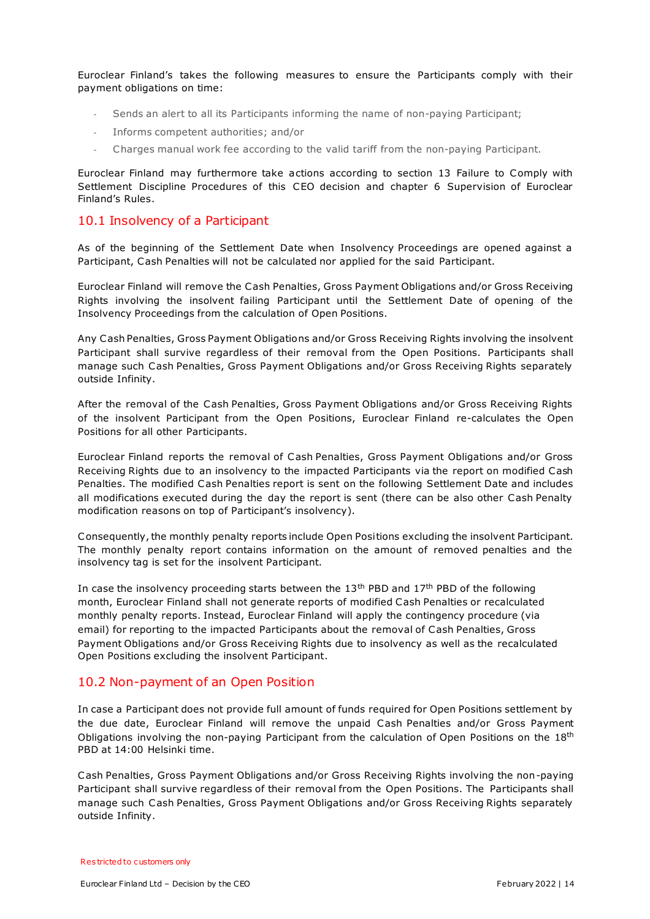Euroclear Finland's takes the following measures to ensure the Participants comply with their payment obligations on time:

- Sends an alert to all its Participants informing the name of non-paying Participant;
- Informs competent authorities; and/or
- Charges manual work fee according to the valid tariff from the non-paying Participant.

Euroclear Finland may furthermore take actions according to section 13 Failure to Comply with Settlement Discipline Procedures of this CEO decision and chapter 6 Supervision of Euroclear Finland's Rules.

#### <span id="page-13-0"></span>10.1 Insolvency of a Participant

As of the beginning of the Settlement Date when Insolvency Proceedings are opened against a Participant, Cash Penalties will not be calculated nor applied for the said Participant.

Euroclear Finland will remove the Cash Penalties, Gross Payment Obligations and/or Gross Receiving Rights involving the insolvent failing Participant until the Settlement Date of opening of the Insolvency Proceedings from the calculation of Open Positions.

Any Cash Penalties, Gross Payment Obligations and/or Gross Receiving Rights involving the insolvent Participant shall survive regardless of their removal from the Open Positions. Participants shall manage such Cash Penalties, Gross Payment Obligations and/or Gross Receiving Rights separately outside Infinity.

After the removal of the Cash Penalties, Gross Payment Obligations and/or Gross Receiving Rights of the insolvent Participant from the Open Positions, Euroclear Finland re-calculates the Open Positions for all other Participants.

Euroclear Finland reports the removal of Cash Penalties, Gross Payment Obligations and/or Gross Receiving Rights due to an insolvency to the impacted Participants via the report on modified Cash Penalties. The modified Cash Penalties report is sent on the following Settlement Date and includes all modifications executed during the day the report is sent (there can be also other Cash Penalty modification reasons on top of Participant's insolvency).

Consequently, the monthly penalty reports include Open Positions excluding the insolvent Participant. The monthly penalty report contains information on the amount of removed penalties and the insolvency tag is set for the insolvent Participant.

In case the insolvency proceeding starts between the 13<sup>th</sup> PBD and 17<sup>th</sup> PBD of the following month, Euroclear Finland shall not generate reports of modified Cash Penalties or recalculated monthly penalty reports. Instead, Euroclear Finland will apply the contingency procedure (via email) for reporting to the impacted Participants about the removal of Cash Penalties, Gross Payment Obligations and/or Gross Receiving Rights due to insolvency as well as the recalculated Open Positions excluding the insolvent Participant.

#### <span id="page-13-1"></span>10.2 Non-payment of an Open Position

In case a Participant does not provide full amount of funds required for Open Positions settlement by the due date, Euroclear Finland will remove the unpaid Cash Penalties and/or Gross Payment Obligations involving the non-paying Participant from the calculation of Open Positions on the 18<sup>th</sup> PBD at 14:00 Helsinki time.

Cash Penalties, Gross Payment Obligations and/or Gross Receiving Rights involving the non-paying Participant shall survive regardless of their removal from the Open Positions. The Participants shall manage such Cash Penalties, Gross Payment Obligations and/or Gross Receiving Rights separately outside Infinity.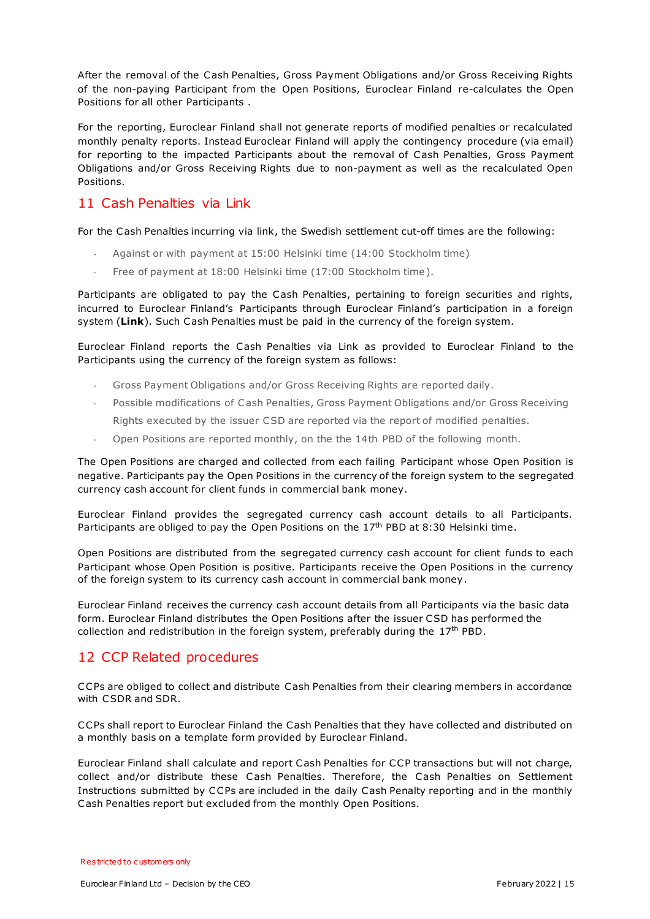After the removal of the Cash Penalties, Gross Payment Obligations and/or Gross Receiving Rights of the non-paying Participant from the Open Positions, Euroclear Finland re-calculates the Open Positions for all other Participants .

For the reporting, Euroclear Finland shall not generate reports of modified penalties or recalculated monthly penalty reports. Instead Euroclear Finland will apply the contingency procedure (via email) for reporting to the impacted Participants about the removal of Cash Penalties, Gross Payment Obligations and/or Gross Receiving Rights due to non-payment as well as the recalculated Open Positions.

## <span id="page-14-0"></span>11 Cash Penalties via Link

For the Cash Penalties incurring via link, the Swedish settlement cut-off times are the following:

- Against or with payment at 15:00 Helsinki time (14:00 Stockholm time)
- Free of payment at 18:00 Helsinki time (17:00 Stockholm time).

Participants are obligated to pay the Cash Penalties, pertaining to foreign securities and rights, incurred to Euroclear Finland's Participants through Euroclear Finland's participation in a foreign system (**Link**). Such Cash Penalties must be paid in the currency of the foreign system.

Euroclear Finland reports the Cash Penalties via Link as provided to Euroclear Finland to the Participants using the currency of the foreign system as follows:

- Gross Payment Obligations and/or Gross Receiving Rights are reported daily.
- Possible modifications of Cash Penalties, Gross Payment Obligations and/or Gross Receiving Rights executed by the issuer CSD are reported via the report of modified penalties.
- Open Positions are reported monthly, on the the 14th PBD of the following month.

The Open Positions are charged and collected from each failing Participant whose Open Position is negative. Participants pay the Open Positions in the currency of the foreign system to the segregated currency cash account for client funds in commercial bank money.

Euroclear Finland provides the segregated currency cash account details to all Participants. Participants are obliged to pay the Open Positions on the  $17<sup>th</sup>$  PBD at 8:30 Helsinki time.

Open Positions are distributed from the segregated currency cash account for client funds to each Participant whose Open Position is positive. Participants receive the Open Positions in the currency of the foreign system to its currency cash account in commercial bank money.

Euroclear Finland receives the currency cash account details from all Participants via the basic data form. Euroclear Finland distributes the Open Positions after the issuer CSD has performed the collection and redistribution in the foreign system, preferably during the  $17<sup>th</sup>$  PBD.

## <span id="page-14-1"></span>12 CCP Related procedures

CCPs are obliged to collect and distribute Cash Penalties from their clearing members in accordance with CSDR and SDR.

CCPs shall report to Euroclear Finland the Cash Penalties that they have collected and distributed on a monthly basis on a template form provided by Euroclear Finland.

Euroclear Finland shall calculate and report Cash Penalties for CCP transactions but will not charge, collect and/or distribute these Cash Penalties. Therefore, the Cash Penalties on Settlement Instructions submitted by CCPs are included in the daily Cash Penalty reporting and in the monthly Cash Penalties report but excluded from the monthly Open Positions.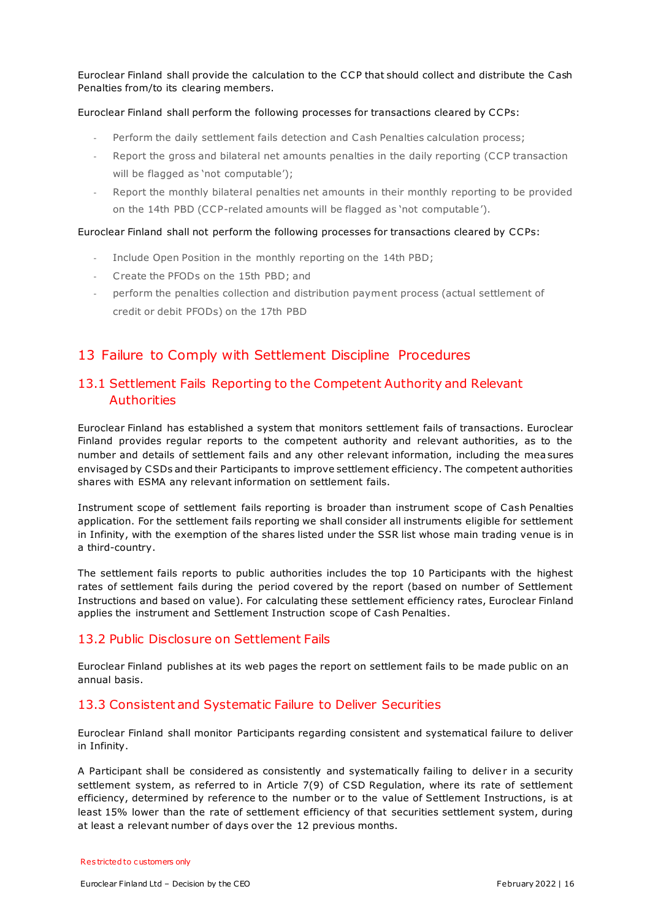Euroclear Finland shall provide the calculation to the CCP that should collect and distribute the Cash Penalties from/to its clearing members.

#### Euroclear Finland shall perform the following processes for transactions cleared by CCPs:

- Perform the daily settlement fails detection and Cash Penalties calculation process;
- Report the gross and bilateral net amounts penalties in the daily reporting (CCP transaction will be flagged as 'not computable');
- Report the monthly bilateral penalties net amounts in their monthly reporting to be provided on the 14th PBD (CCP-related amounts will be flagged as 'not computable').

#### Euroclear Finland shall not perform the following processes for transactions cleared by CCPs:

- Include Open Position in the monthly reporting on the 14th PBD;
- C reate the PFODs on the 15th PBD; and
- perform the penalties collection and distribution payment process (actual settlement of credit or debit PFODs) on the 17th PBD

## <span id="page-15-0"></span>13 Failure to Comply with Settlement Discipline Procedures

## <span id="page-15-1"></span>13.1 Settlement Fails Reporting to the Competent Authority and Relevant **Authorities**

Euroclear Finland has established a system that monitors settlement fails of transactions. Euroclear Finland provides regular reports to the competent authority and relevant authorities, as to the number and details of settlement fails and any other relevant information, including the mea sures envisaged by CSDs and their Participants to improve settlement efficiency. The competent authorities shares with ESMA any relevant information on settlement fails.

Instrument scope of settlement fails reporting is broader than instrument scope of Cash Penalties application. For the settlement fails reporting we shall consider all instruments eligible for settlement in Infinity, with the exemption of the shares listed under the SSR list whose main trading venue is in a third-country.

The settlement fails reports to public authorities includes the top 10 Participants with the highest rates of settlement fails during the period covered by the report (based on number of Settlement Instructions and based on value). For calculating these settlement efficiency rates, Euroclear Finland applies the instrument and Settlement Instruction scope of Cash Penalties.

#### <span id="page-15-2"></span>13.2 Public Disclosure on Settlement Fails

Euroclear Finland publishes at its web pages the report on settlement fails to be made public on an annual basis.

#### <span id="page-15-3"></span>13.3 Consistent and Systematic Failure to Deliver Securities

Euroclear Finland shall monitor Participants regarding consistent and systematical failure to deliver in Infinity.

A Participant shall be considered as consistently and systematically failing to delive r in a security settlement system, as referred to in Article 7(9) of CSD Regulation, where its rate of settlement efficiency, determined by reference to the number or to the value of Settlement Instructions, is at least 15% lower than the rate of settlement efficiency of that securities settlement system, during at least a relevant number of days over the 12 previous months.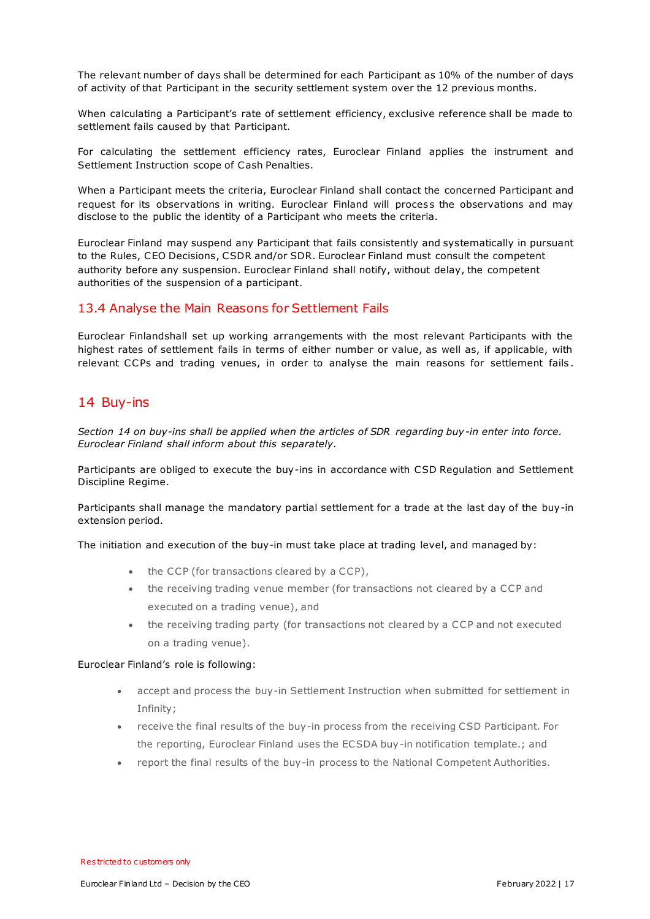The relevant number of days shall be determined for each Participant as 10% of the number of days of activity of that Participant in the security settlement system over the 12 previous months.

When calculating a Participant's rate of settlement efficiency, exclusive reference shall be made to settlement fails caused by that Participant.

For calculating the settlement efficiency rates, Euroclear Finland applies the instrument and Settlement Instruction scope of Cash Penalties.

When a Participant meets the criteria, Euroclear Finland shall contact the concerned Participant and request for its observations in writing. Euroclear Finland will proces s the observations and may disclose to the public the identity of a Participant who meets the criteria.

Euroclear Finland may suspend any Participant that fails consistently and systematically in pursuant to the Rules, CEO Decisions, CSDR and/or SDR. Euroclear Finland must consult the competent authority before any suspension. Euroclear Finland shall notify, without delay, the competent authorities of the suspension of a participant.

#### <span id="page-16-0"></span>13.4 Analyse the Main Reasons for Settlement Fails

Euroclear Finlandshall set up working arrangements with the most relevant Participants with the highest rates of settlement fails in terms of either number or value, as well as, if applicable, with relevant CCPs and trading venues, in order to analyse the main reasons for settlement fails .

## <span id="page-16-1"></span>14 Buy-ins

*Section 14 on buy-ins shall be applied when the articles of SDR regarding buy-in enter into force. Euroclear Finland shall inform about this separately.*

Participants are obliged to execute the buy-ins in accordance with CSD Regulation and Settlement Discipline Regime.

Participants shall manage the mandatory partial settlement for a trade at the last day of the buy-in extension period.

The initiation and execution of the buy-in must take place at trading level, and managed by:

- $\bullet$  the CCP (for transactions cleared by a CCP),
- the receiving trading venue member (for transactions not cleared by a CCP and executed on a trading venue), and
- the receiving trading party (for transactions not cleared by a CCP and not executed on a trading venue).

#### Euroclear Finland's role is following:

- accept and process the buy-in Settlement Instruction when submitted for settlement in Infinity;
- receive the final results of the buy-in process from the receiving CSD Participant. For the reporting, Euroclear Finland uses the ECSDA buy-in notification template.; and
- report the final results of the buy-in process to the National Competent Authorities.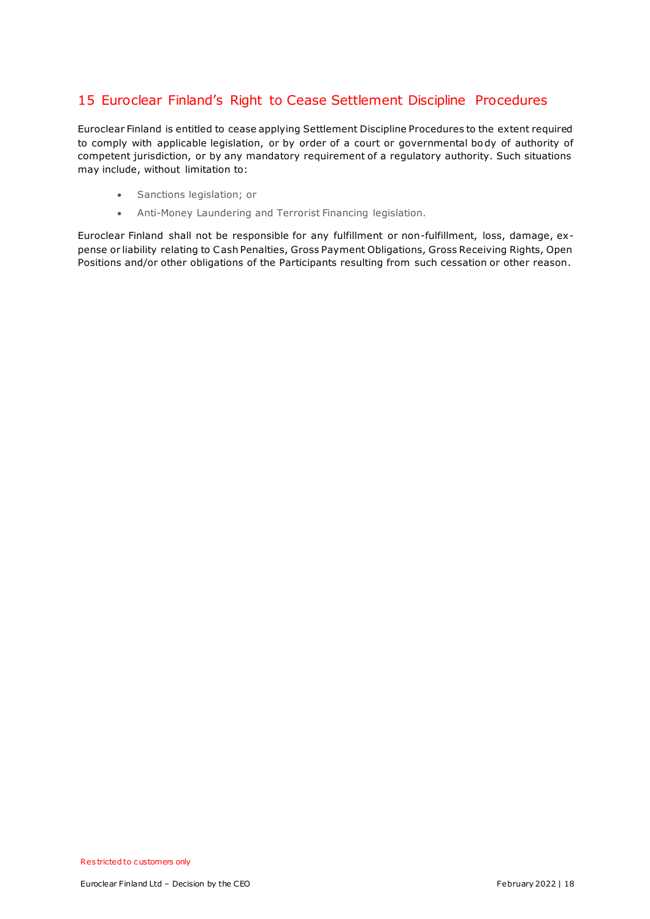## <span id="page-17-0"></span>15 Euroclear Finland's Right to Cease Settlement Discipline Procedures

Euroclear Finland is entitled to cease applying Settlement Discipline Procedures to the extent required to comply with applicable legislation, or by order of a court or governmental body of authority of competent jurisdiction, or by any mandatory requirement of a regulatory authority. Such situations may include, without limitation to:

- Sanctions legislation; or
- Anti-Money Laundering and Terrorist Financing legislation.

Euroclear Finland shall not be responsible for any fulfillment or non-fulfillment, loss, damage, expense or liability relating to Cash Penalties, Gross Payment Obligations, Gross Receiving Rights, Open Positions and/or other obligations of the Participants resulting from such cessation or other reason.

Res tricted to c ustomers only